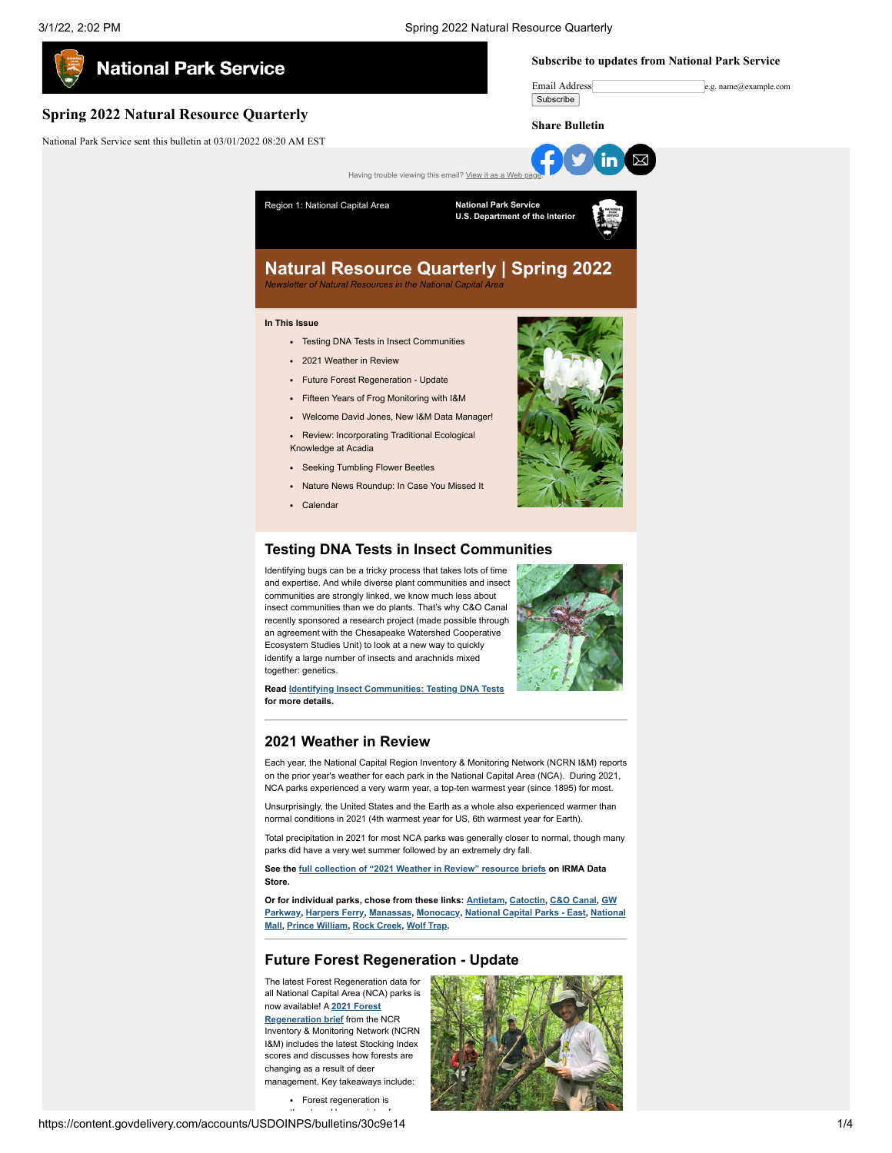

insect communities than we do plants. That's why C&O Canal recently sponsored a research project (made possible through an agreement with the Chesapeake Watershed Cooperative Ecosystem Studies Unit) to look at a new way to quickly identify a large number of insects and arachnids mixed together: genetics.

**Read [Identifying Insect Communities: Testing DNA Tests](https://www.nps.gov/articles/000/insect-id-testing-dna-tests.htm?utm_medium=email&utm_source=govdelivery) for more details.**

## **2021 Weather in Review**

Each year, the National Capital Region Inventory & Monitoring Network (NCRN I&M) reports on the prior year's weather for each park in the National Capital Area (NCA). During 2021, NCA parks experienced a very warm year, a top-ten warmest year (since 1895) for most.

Unsurprisingly, the United States and the Earth as a whole also experienced warmer than normal conditions in 2021 (4th warmest year for US, 6th warmest year for Earth).

Total precipitation in 2021 for most NCA parks was generally closer to normal, though many parks did have a very wet summer followed by an extremely dry fall.

**See the [full collection of "2021 Weather in Review" resource briefs](https://irma.nps.gov/DataStore/SavedSearch/Profile/3823?utm_medium=email&utm_source=govdelivery) on IRMA Data Store.**

**[Or for individual parks, chose from these links: A](https://irma.nps.gov/DataStore/Reference/Profile/2291771?utm_medium=email&utm_source=govdelivery)[ntietam](https://irma.nps.gov/DataStore/Reference/Profile/2291768?utm_medium=email&utm_source=govdelivery)[,](https://irma.nps.gov/DataStore/Reference/Profile/2291771?utm_medium=email&utm_source=govdelivery) [Catoctin](https://irma.nps.gov/DataStore/Reference/Profile/2291769?utm_medium=email&utm_source=govdelivery)[,](https://irma.nps.gov/DataStore/Reference/Profile/2291771?utm_medium=email&utm_source=govdelivery) [C&O Cana](https://irma.nps.gov/DataStore/Reference/Profile/2291770?utm_medium=email&utm_source=govdelivery)[l, GW](https://irma.nps.gov/DataStore/Reference/Profile/2291771?utm_medium=email&utm_source=govdelivery) [Parkway, Harpers Ferry, Manassas, Monocacy, National Capital Parks - East, National](https://irma.nps.gov/DataStore/Reference/Profile/2291776?utm_medium=email&utm_source=govdelivery) Mall, [Prince William](https://irma.nps.gov/DataStore/Reference/Profile/2291777?utm_medium=email&utm_source=govdelivery), [Rock Creek](https://irma.nps.gov/DataStore/Reference/Profile/2291779?utm_medium=email&utm_source=govdelivery), [Wolf Trap](https://irma.nps.gov/DataStore/Reference/Profile/2291780?utm_medium=email&utm_source=govdelivery).**

## **Future Forest Regeneration - Update**

The latest Forest Regeneration data for all National Capital Area (NCA) parks is now available! A **2021 Forest [Regeneration brief](https://www.nps.gov/articles/000/forest-regeneration-2021.htm?utm_medium=email&utm_source=govdelivery)** from the NCR

Inventory & Monitoring Network (NCRN I&M) includes the latest Stocking Index scores and discusses how forests are changing as a result of deer management. Key takeaways include:

Forest regeneration is



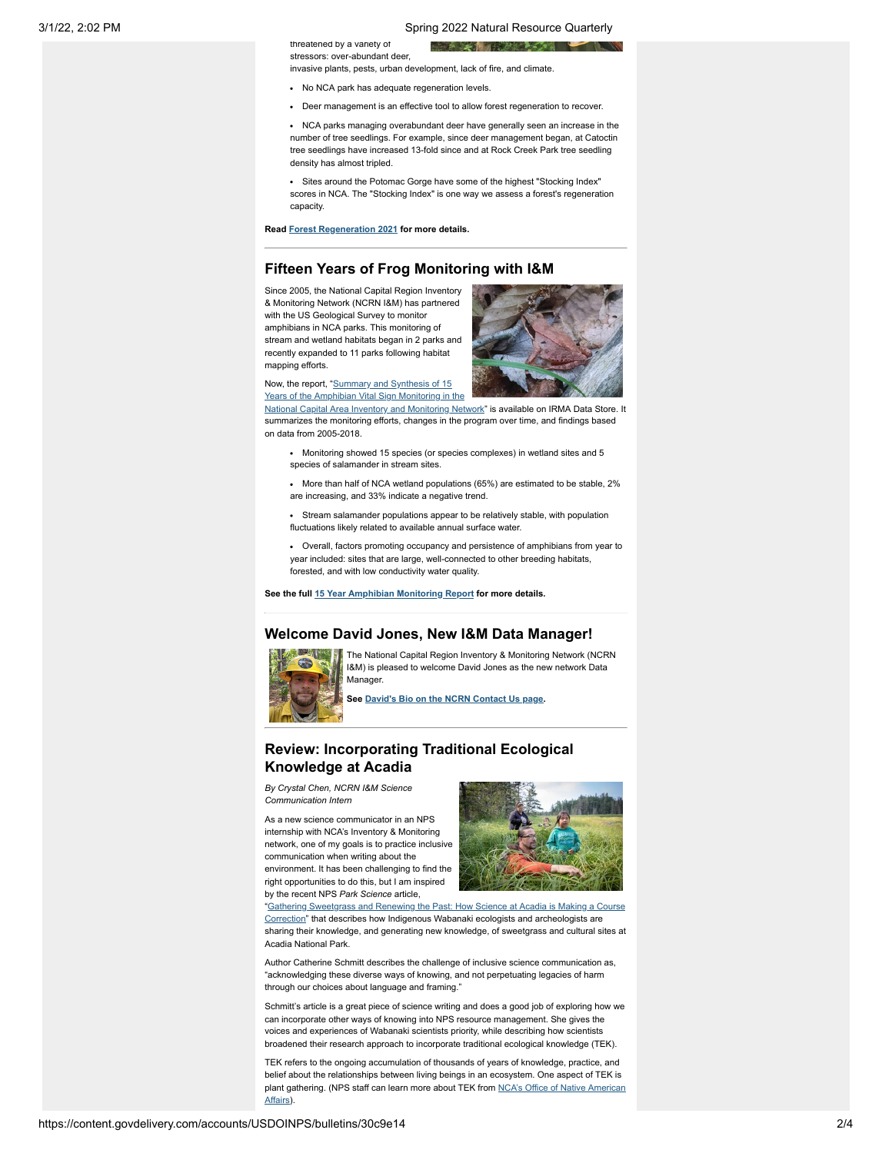#### 3/1/22, 2:02 PM Spring 2022 Natural Resource Quarterly

**All Control** 

stressors: over-abundant deer,

invasive plants, pests, urban development, lack of fire, and climate.

• No NCA park has adequate regeneration levels

threatened by a variety of

Deer management is an effective tool to allow forest regeneration to recover.

• NCA parks managing overabundant deer have generally seen an increase in the number of tree seedlings. For example, since deer management began, at Catoctin tree seedlings have increased 13-fold since and at Rock Creek Park tree seedling density has almost tripled.

Sites around the Potomac Gorge have some of the highest "Stocking Index" scores in NCA. The "Stocking Index" is one way we assess a forest's regeneration capacity.

**Read [Forest Regeneration 2021](https://www.nps.gov/articles/000/forest-regeneration-2021.htm?utm_medium=email&utm_source=govdelivery) for more details.**

# **Fifteen Years of Frog Monitoring with I&M**

Since 2005, the National Capital Region Inventory & Monitoring Network (NCRN I&M) has partnered with the US Geological Survey to monitor amphibians in NCA parks. This monitoring of stream and wetland habitats began in 2 parks and recently expanded to 11 parks following habitat mapping efforts.



Now, the report, "Summary and Synthesis of 15 Years of the Amphibian Vital Sign Monitoring in the

[National Capital Area Inventory and Monitoring Network](https://irma.nps.gov/DataStore/Reference/Profile/2291380?utm_medium=email&utm_source=govdelivery)" is available on IRMA Data Store. It summarizes the monitoring efforts, changes in the program over time, and findings based on data from 2005-2018.

- Monitoring showed 15 species (or species complexes) in wetland sites and 5 species of salamander in stream sites
- More than half of NCA wetland populations (65%) are estimated to be stable, 2% are increasing, and 33% indicate a negative trend.
- Stream salamander populations appear to be relatively stable, with population fluctuations likely related to available annual surface water.
- Overall, factors promoting occupancy and persistence of amphibians from year to year included: sites that are large, well-connected to other breeding habitats, forested, and with low conductivity water quality.

**See the full [15 Year Amphibian Monitoring Report](https://irma.nps.gov/DataStore/Reference/Profile/2291380?utm_medium=email&utm_source=govdelivery) for more details.**

### **Welcome David Jones, New I&M Data Manager!**



The National Capital Region Inventory & Monitoring Network (NCRN I&M) is pleased to welcome David Jones as the new network Data Manager.

**See [David's Bio on the NCRN Contact Us page](https://www.nps.gov/im/ncrn/contactus.htm?utm_medium=email&utm_source=govdelivery).**

# **Review: Incorporating Traditional Ecological Knowledge at Acadia**

*By Crystal Chen, NCRN I&M Science Communication Intern*

As a new science communicator in an NPS internship with NCA's Inventory & Monitoring network, one of my goals is to practice inclusive communication when writing about the environment. It has been challenging to find the right opportunities to do this, but I am inspired by the recent NPS *Park Science* article,



"Gathering Sweetgrass and Renewing the Past: H [Correction" that describes how Indigenous Wabanaki ecologists and archeologists are](https://www.nps.gov/articles/000/gathering-sweetgrass-and-renewing-the-past.htm?utm_medium=email&utm_source=govdelivery) sharing their knowledge, and generating new knowledge, of sweetgrass and cultural sites at Acadia National Park.

Author Catherine Schmitt describes the challenge of inclusive science communication as, "acknowledging these diverse ways of knowing, and not perpetuating legacies of harm through our choices about language and framing."

Schmitt's article is a great piece of science writing and does a good job of exploring how we can incorporate other ways of knowing into NPS resource management. She gives the voices and experiences of Wabanaki scientists priority, while describing how scientists broadened their research approach to incorporate traditional ecological knowledge (TEK).

TEK refers to the ongoing accumulation of thousands of years of knowledge, practice, and belief about the relationships between living beings in an ecosystem. One aspect of TEK is [plant gathering. \(NPS staff can learn more about TEK from NCA's Office of Native American](https://doimspp.sharepoint.com/sites/nps-nca-ress/SitePages/Tribal-Consultation.aspx?utm_medium=email&utm_source=govdelivery) Affairs).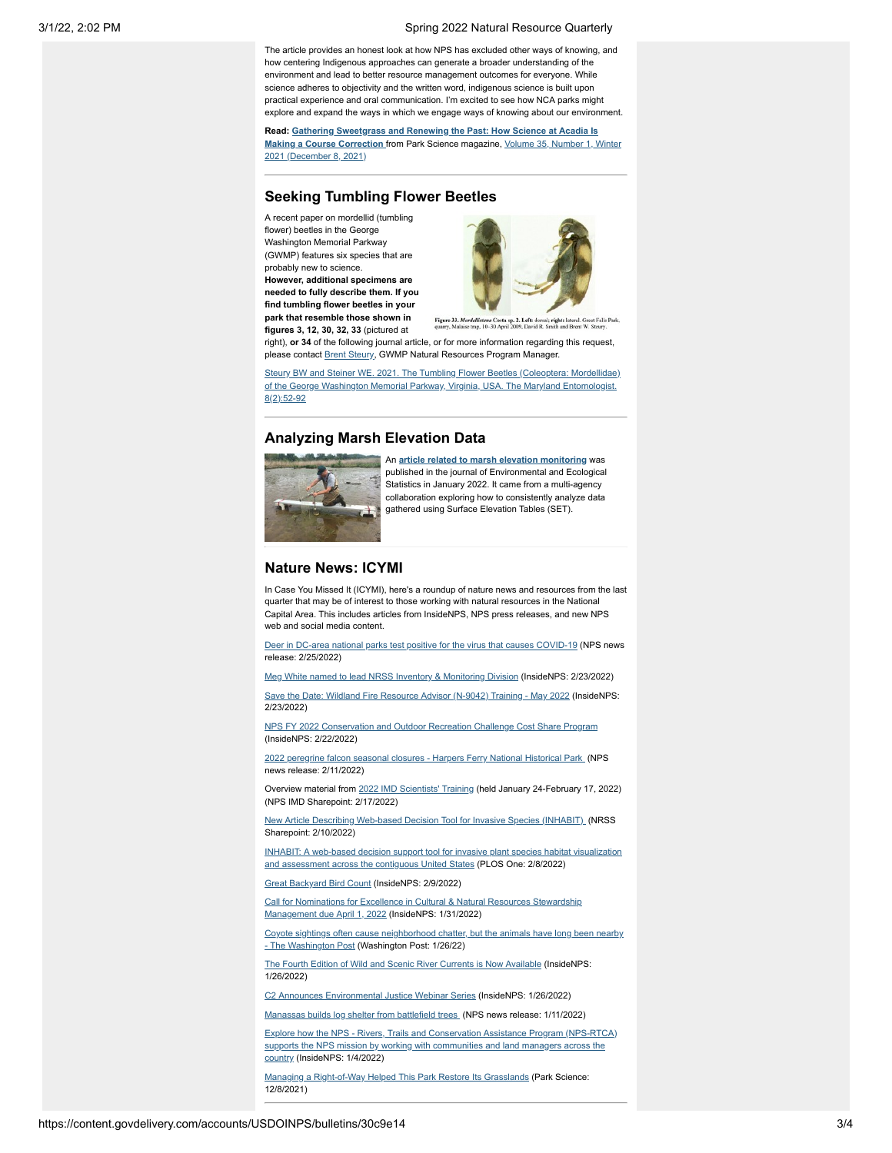#### 3/1/22, 2:02 PM Spring 2022 Natural Resource Quarterly

The article provides an honest look at how NPS has excluded other ways of knowing, and how centering Indigenous approaches can generate a broader understanding of the environment and lead to better resource management outcomes for everyone. While science adheres to objectivity and the written word, indigenous science is built upon practical experience and oral communication. I'm excited to see how NCA parks might explore and expand the ways in which we engage ways of knowing about our environment.

**Read: [Gathering Sweetgrass and Renewing the Past: How Science at Acadia Is](https://www.nps.gov/articles/000/gathering-sweetgrass-and-renewing-the-past.htm?utm_medium=email&utm_source=govdelivery) [Making a Course Correction](https://www.nps.gov/subjects/parkscience/issue-winter-2021.htm?utm_medium=email&utm_source=govdelivery)** from Park Science magazine, Volume 35, Number 1, Winter 2021 (December 8, 2021)

# **Seeking Tumbling Flower Beetles**

A recent paper on mordellid (tumbling flower) beetles in the George Washington Memorial Parkway (GWMP) features six species that are probably new to science.

**However, additional specimens are needed to fully describe them. If you find tumbling flower beetles in your park that resemble those shown in figures 3, 12, 30, 32, 33** (pictured at



Figure 33. Morde d; right: Costa sp. 2, Left: al. Great Falls Park

right), **or 34** of the following journal article, or for more information regarding this request, please contact **Brent Steury**, GWMP Natural Resources Program Manager.

[Steury BW and Steiner WE. 2021. The Tumbling Flower Beetles \(Coleoptera: Mordellidae\)](https://irma.nps.gov/DataStore/Reference/Profile/2291887?utm_medium=email&utm_source=govdelivery) of the George Washington Memorial Parkway, Virginia, USA. The Maryland Entomologist. 8(2):52-92

# **Analyzing Marsh Elevation Data**



An **[article related to marsh elevation monitoring](https://irma.nps.gov/DataStore/Reference/Profile/2291701?utm_medium=email&utm_source=govdelivery)** was published in the journal of Environmental and Ecological Statistics in January 2022. It came from a multi-agency collaboration exploring how to consistently analyze data gathered using Surface Elevation Tables (SET).

### **Nature News: ICYMI**

In Case You Missed It (ICYMI), here's a roundup of nature news and resources from the last quarter that may be of interest to those working with natural resources in the National Capital Area. This includes articles from InsideNPS, NPS press releases, and new NPS web and social media content.

[Deer in DC-area national parks test positive for the virus that causes COVID-19](https://www.nps.gov/cato/learn/news/deer-in-dc-area-national-parks-test-positive-for-the-virus-that-causes-covid-19.htm?utm_medium=email&utm_source=govdelivery) (NPS news release: 2/25/2022)

[Meg White named to lead NRSS Inventory & Monitoring Division](https://doimspp.sharepoint.com/sites/nps-InsideNPS/SitePages/Meg-White-named-to-lead-NRSS-Inventory-%26-Monitoring-Division.aspx?utm_medium=email&utm_source=govdelivery) (InsideNPS: 2/23/2022)

[Save the Date: Wildland Fire Resource Advisor \(N-9042\) Training - May 2022](https://doimspp.sharepoint.com/sites/nps-InsideNPS/SitePages/Save-the-Date--Wildland-Fire-Resource-Advisor-(N-9042)-Training.aspx?utm_medium=email&utm_source=govdelivery) (InsideNPS: 2/23/2022)

[NPS FY 2022 Conservation and Outdoor Recreation Challenge Cost Share Program](https://doimspp.sharepoint.com/sites/nps-InsideNPS/SitePages/NPS-FY-2022-Conservation-and-Outdoor-Recreation-Challenge-Cost-Share-Program.aspx?utm_medium=email&utm_source=govdelivery) (InsideNPS: 2/22/2022)

[2022 peregrine falcon seasonal closures - Harpers Ferry National Historical Park](https://www.nps.gov/hafe/learn/news/2022-peregrine-falcon-seasonal-closures.htm?utm_medium=email&utm_source=govdelivery) (NPS news release: 2/11/2022)

Overview material from [2022 IMD Scientists' Training](https://doimspp.sharepoint.com/sites/nps-nrss-imdiv/SitePages/2022-IMD-Scientists-Training.aspx?CT=1643290129278&OR=Teams-HL&ovuser=0693b5ba-4b18-4d7b-9341-f32f400a5494%2Cmnortrup%40nps.gov&sdata=ZHQ3VXZRMEJmWnI1NkNteGVYNVlWQjIyR0JMVzh1ZWp0OFVUeVhibTBsbz0%3D&utm_medium=email&utm_source=govdelivery&xsdata=MDN8MDF8fGM1YWI5MGZmZTVhNTRmYWE5YzExMjdkNDBlZmJjMmQyfDA2OTNiNWJhNGIxODRkN2I5MzQxZjMyZjQwMGE1NDk0fDF8MHw2Mzc3ODgwNTAyOTAzMTQwNzh8R29vZHxWR1ZoYlhOVFpXTjFjbWwwZVZObGNuWnBZMlY4ZXlKV0lqb2lNQzR3TGpBd01EQWlMQ0pRSWpvaVYybHVNeklpTENKQlRpSTZJazkwYUdWeUlpd2lWMVFpT2pFeGZRPT0%3D) (held January 24-February 17, 2022) (NPS IMD Sharepoint: 2/17/2022)

[New Article Describing Web-based Decision Tool for Invasive Species \(INHABIT\)](https://doimspp.sharepoint.com/sites/nps-nrss-invasivespecies-ipm/SitePages/New-Article-Describing.aspx?utm_medium=email&utm_source=govdelivery) (NRSS Sharepoint: 2/10/2022)

[INHABIT: A web-based decision support tool for invasive plant species habitat visualization](https://doi.org/10.1371/journal.pone.0263056?utm_medium=email&utm_source=govdelivery) and assessment across the contiguous United States (PLOS One: 2/8/2022)

[Great Backyard Bird Count](https://doimspp.sharepoint.com/sites/nps-InsideNPS/SitePages/Great-Backyard-Bird-Count--How-to-Participate.aspx?utm_medium=email&utm_source=govdelivery) (InsideNPS: 2/9/2022)

[Call for Nominations for Excellence in Cultural & Natural Resources Stewardship](https://doimspp.sharepoint.com/sites/nps-InsideNPS/SitePages/Call-for-Nominations-for-Excellence-in-Cultural-%26-Natural-Resources-Stewardship-Management-due-April-1%2C-2022.aspx?utm_medium=email&utm_source=govdelivery) Management due April 1, 2022 (InsideNPS: 1/31/2022)

[Coyote sightings often cause neighborhood chatter, but the animals have long been nearby](https://www.washingtonpost.com/kidspost/2022/01/26/coyotes-in-suburbs-and-cities/?utm_medium=email&utm_source=govdelivery) - The Washington Post (Washington Post: 1/26/22)

[The Fourth Edition of Wild and Scenic River Currents is Now Available](https://doimspp.sharepoint.com/sites/nps-InsideNPS/SitePages/The-Fourth-Edition-of-Wild-and-Scenic-River-Currents-is-Now-Available.aspx?utm_medium=email&utm_source=govdelivery) (InsideNPS: 1/26/2022)

[C2 Announces Environmental Justice Webinar Series](https://doimspp.sharepoint.com/sites/nps-InsideNPS/SitePages/C2-Announces-Environmental-Justice-Webinar-Series.aspx?utm_medium=email&utm_source=govdelivery) (InsideNPS: 1/26/2022)

as builds log shelter from battlefield trees. (NPS news release: 1/11/2022)

[Explore how the NPS - Rivers, Trails and Conservation Assistance Program \(NPS-RTCA\)](https://doimspp.sharepoint.com/sites/nps-InsideNPS/SitePages/The-National-Park-Service---Conservation-and.aspx?utm_medium=email&utm_source=govdelivery) supports the NPS mission by working with communities and land managers across the country (InsideNPS: 1/4/2022)

[Managing a Right-of-Way Helped This Park Restore Its Grasslands](https://www.nps.gov/articles/000/managing-a-right-of-way-helped-this-park-restore-its-grasslands.htm?utm_medium=email&utm_source=govdelivery) (Park Science: 12/8/2021)